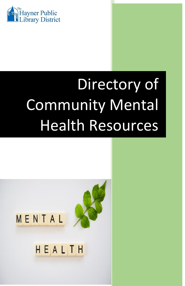

# Directory of Community Mental Health Resources

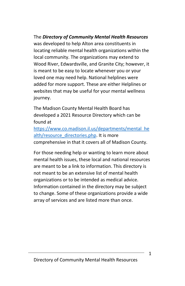The *Directory of Community Mental Health Resources* was developed to help Alton area constituents in locating reliable mental health organizations within the local community. The organizations may extend to Wood River, Edwardsville, and Granite City; however, it is meant to be easy to locate whenever you or your loved one may need help. National helplines were added for more support. These are either Helplines or websites that may be useful for your mental wellness journey.

The Madison County Mental Health Board has developed a 2021 Resource Directory which can be found at

[https://www.co.madison.il.us/departments/mental\\_he](https://www.co.madison.il.us/departments/mental_health/resource_directories.php) [alth/resource\\_directories.php.](https://www.co.madison.il.us/departments/mental_health/resource_directories.php) It is more comprehensive in that it covers all of Madison County.

For those needing help or wanting to learn more about mental health issues, these local and national resources are meant to be a link to information. This directory is not meant to be an extensive list of mental health organizations or to be intended as medical advice. Information contained in the directory may be subject to change. Some of these organizations provide a wide array of services and are listed more than once.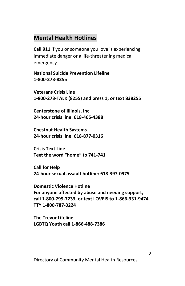# **Mental Health Hotlines**

**Call 911** if you or someone you love is experiencing immediate danger or a life-threatening medical emergency.

**National Suicide Prevention Lifeline 1-800-273-8255**

**Veterans Crisis Line 1-800-273-TALK (8255) and press 1; or text 838255**

**Centerstone of Illinois, Inc 24-hour crisis line: 618-465-4388**

**Chestnut Health Systems 24-hour crisis line: 618-877-0316**

**Crisis Text Line Text the word "home" to 741-741**

**Call for Help 24-hour sexual assault hotline: 618-397-0975**

**Domestic Violence Hotline For anyone affected by abuse and needing support, call 1-800-799-7233, or text LOVEIS to 1-866-331-9474. TTY 1-800-787-3224**

**The Trevor Lifeline LGBTQ Youth call 1-866-488-7386**

 $\mathfrak{p}$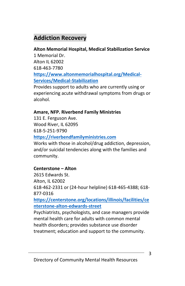# **Addiction Recovery**

## **Alton Memorial Hospital, Medical Stabilization Service**

1 Memorial Dr. Alton IL 62002 618-463-7780 **[https://www.altonmemorialhospital.org/Medical-](https://www.altonmemorialhospital.org/Medical-Services/Medical-Stabilization)[Services/Medical-Stabilization](https://www.altonmemorialhospital.org/Medical-Services/Medical-Stabilization)**

Provides support to adults who are currently using or experiencing acute withdrawal symptoms from drugs or alcohol.

## **Amare, NFP. Riverbend Family Ministries**

131 E. Ferguson Ave. Wood River, IL 62095 618-5-251-9790

## **[https://riverbendfamilyministries.com](https://riverbendfamilyministries.com/)**

Works with those in alcohol/drug addiction, depression, and/or suicidal tendencies along with the families and community.

## **Centerstone – Alton**

2615 Edwards St. Alton, IL 62002 618-462-2331 or (24-hour helpline) 618-465-4388; 618- 877-0316

**[https://centerstone.org/locations/illinois/facilities/ce](https://centerstone.org/locations/illinois/facilities/centerstone-alton-edwards-street) [nterstone-alton-edwards-street](https://centerstone.org/locations/illinois/facilities/centerstone-alton-edwards-street)**

Psychiatrists, psychologists, and case managers provide mental health care for adults with common mental health disorders; provides substance use disorder treatment; education and support to the community.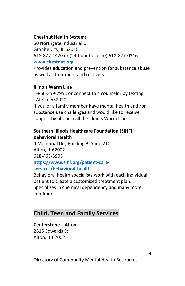#### **Chestnut Health Systems**

50 Northgate Industrial Dr. Granite City, IL 62040 618-877-4420 or (24-hour helpline) 618-877-0316 **[www.chestnut.org](http://www.chestnut.org/)**

Provides education and prevention for substance abuse as well as treatment and recovery.

#### **Illinois Warm Line**

1-866-359-7953 or connect to a counselor by texting TALK to 552020.

If you or a family member have mental health and /or substance use challenges and would like to receive support by phone, call the Illinois Warm Line.

## **Southern Illinois Healthcare Foundation (SIHF) Behavioral Health**

4 Memorial Dr., Building B, Suite 210 Alton, IL 62002 618-463-5905 **[https://www.sihf.org/patient-care](https://www.sihf.org/patient-care-services/behavioral-health)[services/behavioral-health](https://www.sihf.org/patient-care-services/behavioral-health)**

Behavioral health specialists work with each individual patient to create a customized treatment plan. Specializes in chemical dependency and many more conditions.

# **Child, Teen and Family Services**

#### **Centerstone – Alton**

2615 Edwards St. Alton, IL 62002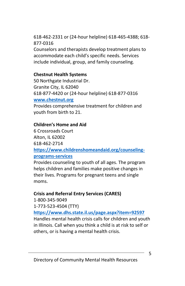618-462-2331 or (24-hour helpline) 618-465-4388; 618- 877-0316

Counselors and therapists develop treatment plans to accommodate each child's specific needs. Services include individual, group, and family counseling.

## **Chestnut Health Systems**

50 Northgate Industrial Dr. Granite City, IL 62040 618-877-4420 or (24-hour helpline) 618-877-0316 **[www.chestnut.org](http://www.chestnut.org/)**

Provides comprehensive treatment for children and youth from birth to 21.

## **Children's Home and Aid**

6 Crossroads Court Alton, IL 62002 618-462-2714

**[https://www.childrenshomeandaid.org/counseling](https://www.childrenshomeandaid.org/counseling-programs-services)[programs-services](https://www.childrenshomeandaid.org/counseling-programs-services)**

Provides counseling to youth of all ages. The program helps children and families make positive changes in their lives. Programs for pregnant teens and single moms.

## **Crisis and Referral Entry Services (CARES)**

1-800-345-9049

1-773-523-4504 (TTY)

**<https://www.dhs.state.il.us/page.aspx?item=92597>**

Handles mental health crisis calls for children and youth in Illinois. Call when you think a child is at risk to self or others, or is having a mental health crisis.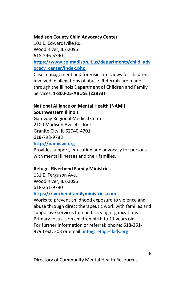#### **Madison County Child Advocacy Center**

101 E. Edwardsville Rd. Wood River, IL 62095 618-296-5390 **[https://www.co.madison.il.us/departments/child\\_adv](https://www.co.madison.il.us/departments/child_advocacy_center/index.php) [ocacy\\_center/index.php](https://www.co.madison.il.us/departments/child_advocacy_center/index.php)**

Case management and forensic interviews for children involved in allegations of abuse. Referrals are made through the Illinois Department of Children and Family Services. **1-800-25-ABUSE (22873)**

## **National Alliance on Mental Health (NAMI) – Southwestern Illinois**

Gateway Regional Medical Center 2100 Madison Ave. 4<sup>th</sup> floor Granite City, IL 62040-4701 618-798-9788

**[http://namiswi.org](http://namiswi.org/)**

Provides support, education and advocacy for persons with mental illnesses and their families.

## **Refuge. Riverbend Family Ministries**

131 E. Ferguson Ave. Wood River, IL 62095 618-251-9790

## **[https://riverbendfamilyministries.com](https://riverbendfamilyministries.com/)**

Works to prevent childhood exposure to violence and abuse through direct therapeutic work with families and supportive services for child-serving organizations. Primary focus is on children birth to 11 years old. For further information or referral: phone: 618-251 9790 ext. 203 or email: [info@refuge4kids.org](mailto:info@refuge4kids.org).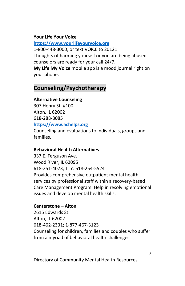## **Your Life Your Voice**

**[https://www.yourlifeyourvoice.org](https://www.yourlifeyourvoice.org/)** 1-800-448-3000; or text VOICE to 20121 Thoughts of harming yourself or you are being abused, counselors are ready for your call 24/7. **My Life My Voice** mobile app is a mood journal right on

your phone.

# **Counseling/Psychotherapy**

## **Alternative Counseling**

307 Henry St. #100 Alton, IL 62002 618-288-8085 **[https://www.achelps.org](https://www.achelps.org/)**

Counseling and evaluations to individuals, groups and families.

## **Behavioral Health Alternatives**

337 E. Ferguson Ave. Wood River, IL 62095 618-251-4073; TTY: 618-254-5524 Provides comprehensive outpatient mental health services by professional staff within a recovery-based Care Management Program. Help in resolving emotional issues and develop mental health skills.

## **Centerstone – Alton**

2615 Edwards St. Alton, IL 62002 618-462-2331; 1-877-467-3123 Counseling for children, families and couples who suffer from a myriad of behavioral health challenges.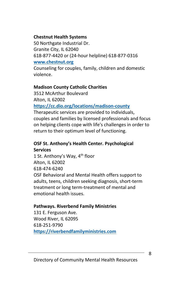## **Chestnut Health Systems**

50 Northgate Industrial Dr. Granite City, IL 62040 618-877-4420 or (24-hour helpline) 618-877-0316 **[www.chestnut.org](http://www.chestnut.org/)**

Counseling for couples, family, children and domestic violence.

## **Madison County Catholic Charities**

3512 McArthur Boulevard Alton, IL 62002

**<https://cc.dio.org/locations/madison-county>**

Therapeutic services are provided to individuals, couples and families by licensed professionals and focus on helping clients cope with life's challenges in order to return to their optimum level of functioning.

## **OSF St. Anthony's Health Center. Psychological Services**

1 St. Anthony's Way, 4<sup>th</sup> floor Alton, IL 62002 618-474-6240 OSF Behavioral and Mental Health offers support to adults, teens, children seeking diagnosis, short-term treatment or long term-treatment of mental and emotional health issues.

## **Pathways. Riverbend Family Ministries**

131 E. Ferguson Ave. Wood River, IL 62095 618-251-9790 **[https://riverbendfamilyministries.com](https://riverbendfamilyministries.com/)**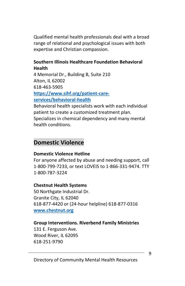Qualified mental health professionals deal with a broad range of relational and psychological issues with both expertise and Christian compassion.

#### **Southern Illinois Healthcare Foundation Behavioral Health**

4 Memorial Dr., Building B, Suite 210 Alton, IL 62002 618-463-5905 **[https://www.sihf.org/patient-care-](https://www.sihf.org/patient-care-services/behavioral-health)**

**[services/behavioral-health](https://www.sihf.org/patient-care-services/behavioral-health)**

Behavioral health specialists work with each individual patient to create a customized treatment plan. Specializes in chemical dependency and many mental health conditions.

# **Domestic Violence**

## **Domestic Violence Hotline**

For anyone affected by abuse and needing support, call 1-800-799-7233, or text LOVEIS to 1-866-331-9474. TTY 1-800-787-3224

## **Chestnut Health Systems**

50 Northgate Industrial Dr. Granite City, IL 62040 618-877-4420 or (24-hour helpline) 618-877-0316 **[www.chestnut.org](http://www.chestnut.org/)**

## **Group Interventions. Riverbend Family Ministries**

131 E. Ferguson Ave. Wood River, IL 62095 618-251-9790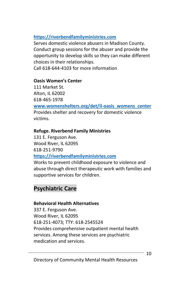## **[https://riverbendfamilyministries.com](https://riverbendfamilyministries.com/)**

Serves domestic violence abusers in Madison County. Conduct group sessions for the abuser and provide the opportunity to develop skills so they can make different choices in their relationships.

Call 618-644-4103 for more information

## **Oasis Women's Center**

111 Market St. Alton, IL 62002 618-465-1978

**[www.womenshelters.org/det/il-oasis\\_womens\\_center](http://www.womenshelters.org/det/il-oasis_womens_center)** Provides shelter and recovery for domestic violence victims.

## **Refuge. Riverbend Family Ministries**

131 E. Ferguson Ave. Wood River, IL 62095 618-251-9790

**[https://riverbendfamilyministries.com](https://riverbendfamilyministries.com/)**

Works to prevent childhood exposure to violence and abuse through direct therapeutic work with families and supportive services for children.

# **Psychiatric Care**

## **Behavioral Health Alternatives**

337 E. Ferguson Ave. Wood River, IL 62095 618-251-4073; TTY: 618-2545524 Provides comprehensive outpatient mental health services. Among these services are psychiatric medication and services.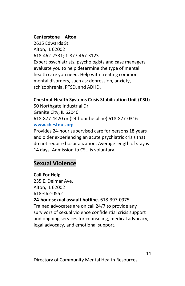#### **Centerstone – Alton**

2615 Edwards St. Alton, IL 62002 618-462-2331; 1-877-467-3123 Expert psychiatrists, psychologists and case managers evaluate you to help determine the type of mental health care you need. Help with treating common mental disorders, such as: depression, anxiety, schizophrenia, PTSD, and ADHD.

## **Chestnut Health Systems Crisis Stabilization Unit (CSU)**

50 Northgate Industrial Dr. Granite City, IL 62040 618-877-4420 or (24-hour helpline) 618-877-0316 **[www.chestnut.org](http://www.chestnut.org/)**

Provides 24-hour supervised care for persons 18 years and older experiencing an acute psychiatric crisis that do not require hospitalization. Average length of stay is 14 days. Admission to CSU is voluntary.

# **Sexual Violence**

## **Call For Help**

235 E. Delmar Ave. Alton, IL 62002 618-462-0552 **24-hour sexual assault hotline.** 618-397-0975 Trained advocates are on call 24/7 to provide any survivors of sexual violence confidential crisis support and ongoing services for counseling, medical advocacy, legal advocacy, and emotional support.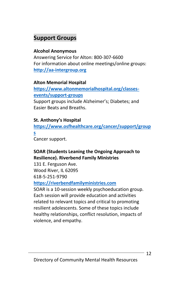# **Support Groups**

## **Alcohol Anonymous**

Answering Service for Alton: 800-307-6600 For information about online meetings/online groups: **[http://aa-intergroup.org](http://aa-intergroup.org/)**

## **Alton Memorial Hospital**

**[https://www.altonmemorialhospital.org/classes](https://www.altonmemorialhospital.org/classes-events/support-groups)[events/support-groups](https://www.altonmemorialhospital.org/classes-events/support-groups)**

Support groups include Alzheimer's; Diabetes; and Easier Beats and Breaths.

## **St. Anthony's Hospital**

**[https://www.osfhealthcare.org/cancer/support/group](https://www.osfhealthcare.org/cancer/support/groups)**

**[s](https://www.osfhealthcare.org/cancer/support/groups)**

Cancer support.

## **SOAR (Students Leaning the Ongoing Approach to Resilience). Riverbend Family Ministries**

131 E. Ferguson Ave. Wood River, IL 62095 618-5-251-9790

## **[https://riverbendfamilyministries.com](https://riverbendfamilyministries.com/)**

SOAR is a 10-session weekly psychoeducation group. Each session will provide education and activities related to relevant topics and critical to promoting resilient adolescents. Some of these topics include healthy relationships, conflict resolution, impacts of violence, and empathy.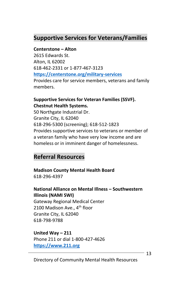# **Supportive Services for Veterans/Families**

#### **Centerstone – Alton**

2615 Edwards St. Alton, IL 62002 618-462-2331 or 1-877-467-3123 **<https://centerstone.org/military-services>** Provides care for service members, veterans and family members.

## **Supportive Services for Veteran Families (SSVF). Chestnut Health Systems.**

50 Northgate Industrial Dr. Granite City, IL 62040 618-296-5300 (screening); 618-512-1823 Provides supportive services to veterans or member of a veteran family who have very low income and are homeless or in imminent danger of homelessness.

# **Referral Resources**

#### **Madison County Mental Health Board** 618-296-4397

## **National Alliance on Mental Illness – Southwestern Illinois (NAMI SWI)**

Gateway Regional Medical Center 2100 Madison Ave., 4<sup>th</sup> floor Granite City, IL 62040 618-798-9788

## **United Way – 211**

Phone 211 or dial 1-800-427-4626 **[https://www.211.org](https://www.211.org/)**

13

Directory of Community Mental Health Resources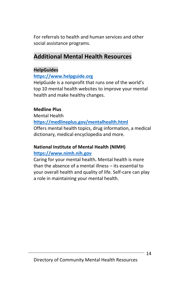For referrals to health and human services and other social assistance programs.

# **Additional Mental Health Resources**

#### **HelpGuides**

#### **[https://www.helpguide.org](https://www.helpguide.org/)**

HelpGuide is a nonprofit that runs one of the world's top 10 mental health websites to improve your mental health and make healthy changes.

#### **Medline Plus**

Mental Health

**<https://medlineplus.gov/mentalhealth.html>**

Offers mental health topics, drug information, a medical dictionary, medical encyclopedia and more.

## **National Institute of Mental Health (NIMH)**

#### **[https://www.nimh.nih.gov](https://www.nimh.nih.gov/)**

Caring for your mental health**.** Mental health is more than the absence of a mental illness – its essential to your overall health and quality of life. Self-care can play a role in maintaining your mental health.